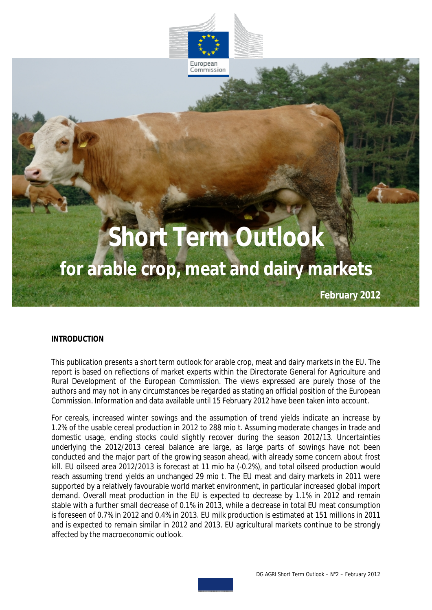

European Commission

# **Short Term Outlook for arable crop, meat and dairy markets**

**February 2012**

#### **INTRODUCTION**

This publication presents a short term outlook for arable crop, meat and dairy markets in the EU. The report is based on reflections of market experts within the Directorate General for Agriculture and Rural Development of the European Commission. The views expressed are purely those of the authors and may not in any circumstances be regarded as stating an official position of the European Commission. Information and data available until 15 February 2012 have been taken into account.

For cereals, increased winter sowings and the assumption of trend yields indicate an increase by 1.2% of the usable cereal production in 2012 to 288 mio t. Assuming moderate changes in trade and domestic usage, ending stocks could slightly recover during the season 2012/13. Uncertainties underlying the 2012/2013 cereal balance are large, as large parts of sowings have not been conducted and the major part of the growing season ahead, with already some concern about frost kill. EU oilseed area 2012/2013 is forecast at 11 mio ha (-0.2%), and total oilseed production would reach assuming trend yields an unchanged 29 mio t. The EU meat and dairy markets in 2011 were supported by a relatively favourable world market environment, in particular increased global import demand. Overall meat production in the EU is expected to decrease by 1.1% in 2012 and remain stable with a further small decrease of 0.1% in 2013, while a decrease in total EU meat consumption is foreseen of 0.7% in 2012 and 0.4% in 2013. EU milk production is estimated at 151 millions in 2011 and is expected to remain similar in 2012 and 2013. EU agricultural markets continue to be strongly affected by the macroeconomic outlook.

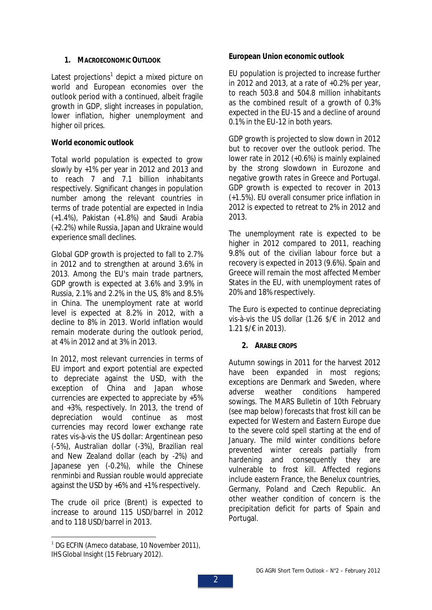## **1. MACROECONOMIC OUTLOOK**

Latest projections<sup>1</sup> depict a mixed picture on world and European economies over the outlook period with a continued, albeit fragile growth in GDP, slight increases in population, lower inflation, higher unemployment and higher oil prices.

## **World economic outlook**

Total world population is expected to grow slowly by +1% per year in 2012 and 2013 and to reach 7 and 7.1 billion inhabitants respectively. Significant changes in population number among the relevant countries in terms of trade potential are expected in India (+1.4%), Pakistan (+1.8%) and Saudi Arabia (+2.2%) while Russia, Japan and Ukraine would experience small declines.

Global GDP growth is projected to fall to 2.7% in 2012 and to strengthen at around 3.6% in 2013. Among the EU's main trade partners, GDP growth is expected at 3.6% and 3.9% in Russia, 2.1% and 2.2% in the US, 8% and 8.5% in China. The unemployment rate at world level is expected at 8.2% in 2012, with a decline to 8% in 2013. World inflation would remain moderate during the outlook period, at 4% in 2012 and at 3% in 2013.

In 2012, most relevant currencies in terms of EU import and export potential are expected to depreciate against the USD, with the exception of China and Japan whose currencies are expected to appreciate by +5% and +3%, respectively. In 2013, the trend of depreciation would continue as most currencies may record lower exchange rate rates vis-à-vis the US dollar: Argentinean peso (-5%), Australian dollar (-3%), Brazilian real and New Zealand dollar (each by -2%) and Japanese yen (-0.2%), while the Chinese renminbi and Russian rouble would appreciate against the USD by +6% and +1% respectively.

The crude oil price (Brent) is expected to increase to around 115 USD/barrel in 2012 and to 118 USD/barrel in 2013.

**European Union economic outlook**

EU population is projected to increase further in 2012 and 2013, at a rate of +0.2% per year, to reach 503.8 and 504.8 million inhabitants as the combined result of a growth of 0.3% expected in the EU-15 and a decline of around 0.1% in the EU-12 in both years.

GDP growth is projected to slow down in 2012 but to recover over the outlook period. The lower rate in 2012 (+0.6%) is mainly explained by the strong slowdown in Eurozone and negative growth rates in Greece and Portugal. GDP growth is expected to recover in 2013 (+1.5%). EU overall consumer price inflation in 2012 is expected to retreat to 2% in 2012 and 2013.

The unemployment rate is expected to be higher in 2012 compared to 2011, reaching 9.8% out of the civilian labour force but a recovery is expected in 2013 (9.6%). Spain and Greece will remain the most affected Member States in the EU, with unemployment rates of 20% and 18% respectively.

The Euro is expected to continue depreciating vis-à-vis the US dollar (1.26 \$/€ in 2012 and 1.21 \$/€ in 2013).

## **2. ARABLE CROPS**

Autumn sowings in 2011 for the harvest 2012 have been expanded in most regions; exceptions are Denmark and Sweden, where adverse weather conditions hampered sowings. The MARS Bulletin of 10th February (see map below) forecasts that frost kill can be expected for Western and Eastern Europe due to the severe cold spell starting at the end of January. The mild winter conditions before prevented winter cereals partially from hardening and consequently they are vulnerable to frost kill. Affected regions include eastern France, the Benelux countries, Germany, Poland and Czech Republic. An other weather condition of concern is the precipitation deficit for parts of Spain and Portugal.

<sup>&</sup>lt;sup>1</sup> DG ECFIN (Ameco database, 10 November 2011), IHS Global Insight (15 February 2012).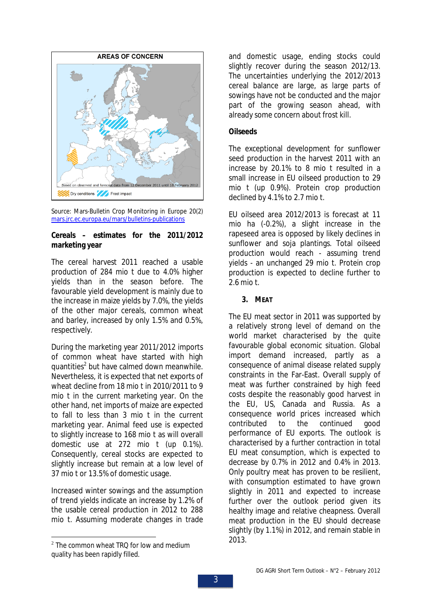

Source: Mars-Bulletin Crop Monitoring in Europe 20(2) mars.jrc.ec.europa.eu/mars/bulletins-publications

**Cereals – estimates for the 2011/2012 marketing year** 

The cereal harvest 2011 reached a usable production of 284 mio t due to 4.0% higher yields than in the season before. The favourable yield development is mainly due to the increase in maize yields by 7.0%, the yields of the other major cereals, common wheat and barley, increased by only 1.5% and 0.5%, respectively.

During the marketing year 2011/2012 imports of common wheat have started with high quantities<sup>2</sup> but have calmed down meanwhile. Nevertheless, it is expected that net exports of wheat decline from 18 mio t in 2010/2011 to 9 mio t in the current marketing year. On the other hand, net imports of maize are expected to fall to less than 3 mio t in the current marketing year. Animal feed use is expected to slightly increase to 168 mio t as will overall domestic use at 272 mio t (up 0.1%). Consequently, cereal stocks are expected to slightly increase but remain at a low level of 37 mio t or 13.5% of domestic usage.

Increased winter sowings and the assumption of trend yields indicate an increase by 1.2% of the usable cereal production in 2012 to 288 mio t. Assuming moderate changes in trade

and domestic usage, ending stocks could slightly recover during the season 2012/13. The uncertainties underlying the 2012/2013 cereal balance are large, as large parts of sowings have not be conducted and the major part of the growing season ahead, with already some concern about frost kill.

#### **Oilseeds**

The exceptional development for sunflower seed production in the harvest 2011 with an increase by 20.1% to 8 mio t resulted in a small increase in EU oilseed production to 29 mio t (up 0.9%). Protein crop production declined by 4.1% to 2.7 mio t.

EU oilseed area 2012/2013 is forecast at 11 mio ha (-0.2%), a slight increase in the rapeseed area is opposed by likely declines in sunflower and soja plantings. Total oilseed production would reach - assuming trend yields - an unchanged 29 mio t. Protein crop production is expected to decline further to 2.6 mio t.

**3. MEAT**

The EU meat sector in 2011 was supported by a relatively strong level of demand on the world market characterised by the quite favourable global economic situation. Global import demand increased, partly as a consequence of animal disease related supply constraints in the Far-East. Overall supply of meat was further constrained by high feed costs despite the reasonably good harvest in the EU, US, Canada and Russia. As a consequence world prices increased which contributed to the continued good performance of EU exports. The outlook is characterised by a further contraction in total EU meat consumption, which is expected to decrease by 0.7% in 2012 and 0.4% in 2013. Only poultry meat has proven to be resilient, with consumption estimated to have grown slightly in 2011 and expected to increase further over the outlook period given its healthy image and relative cheapness. Overall meat production in the EU should decrease slightly (by 1.1%) in 2012, and remain stable in 2013.

 $2$  The common wheat TRQ for low and medium quality has been rapidly filled.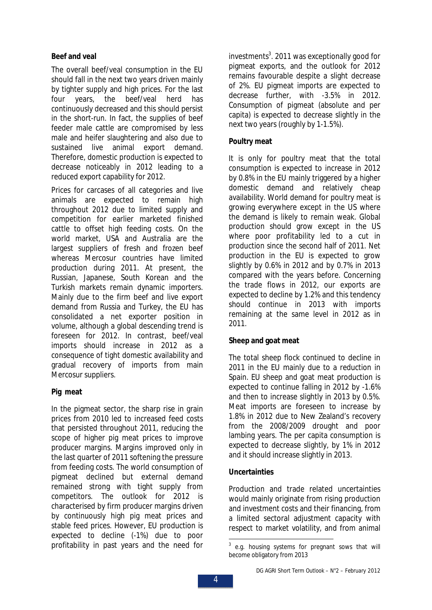## **Beef and veal**

The overall beef/veal consumption in the EU should fall in the next two years driven mainly by tighter supply and high prices. For the last four years, the beef/veal herd has continuously decreased and this should persist in the short-run. In fact, the supplies of beef feeder male cattle are compromised by less male and heifer slaughtering and also due to sustained live animal export demand. Therefore, domestic production is expected to decrease noticeably in 2012 leading to a reduced export capability for 2012.

Prices for carcases of all categories and live animals are expected to remain high throughout 2012 due to limited supply and competition for earlier marketed finished cattle to offset high feeding costs. On the world market, USA and Australia are the largest suppliers of fresh and frozen beef whereas Mercosur countries have limited production during 2011. At present, the Russian, Japanese, South Korean and the Turkish markets remain dynamic importers. Mainly due to the firm beef and live export demand from Russia and Turkey, the EU has consolidated a net exporter position in volume, although a global descending trend is foreseen for 2012. In contrast, beef/veal imports should increase in 2012 as a consequence of tight domestic availability and gradual recovery of imports from main Mercosur suppliers.

## **Pig meat**

In the pigmeat sector, the sharp rise in grain prices from 2010 led to increased feed costs that persisted throughout 2011, reducing the scope of higher pig meat prices to improve producer margins. Margins improved only in the last quarter of 2011 softening the pressure from feeding costs. The world consumption of pigmeat declined but external demand remained strong with tight supply from competitors. The outlook for 2012 is characterised by firm producer margins driven by continuously high pig meat prices and stable feed prices. However, EU production is expected to decline (-1%) due to poor profitability in past years and the need for

investments<sup>3</sup>. 2011 was exceptionally good for pigmeat exports, and the outlook for 2012 remains favourable despite a slight decrease of 2%. EU pigmeat imports are expected to decrease further, with -3.5% in 2012. Consumption of pigmeat (absolute and per capita) is expected to decrease slightly in the next two years (roughly by 1-1.5%).

## **Poultry meat**

It is only for poultry meat that the total consumption is expected to increase in 2012 by 0.8% in the EU mainly triggered by a higher domestic demand and relatively cheap availability. World demand for poultry meat is growing everywhere except in the US where the demand is likely to remain weak. Global production should grow except in the US where poor profitability led to a cut in production since the second half of 2011. Net production in the EU is expected to grow slightly by 0.6% in 2012 and by 0.7% in 2013 compared with the years before. Concerning the trade flows in 2012, our exports are expected to decline by 1.2% and this tendency should continue in 2013 with imports remaining at the same level in 2012 as in 2011.

## **Sheep and goat meat**

The total sheep flock continued to decline in 2011 in the EU mainly due to a reduction in Spain. EU sheep and goat meat production is expected to continue falling in 2012 by -1.6% and then to increase slightly in 2013 by 0.5%. Meat imports are foreseen to increase by 1.8% in 2012 due to New Zealand's recovery from the 2008/2009 drought and poor lambing years. The per capita consumption is expected to decrease slightly, by 1% in 2012 and it should increase slightly in 2013.

## **Uncertainties**

Production and trade related uncertainties would mainly originate from rising production and investment costs and their financing, from a limited sectoral adjustment capacity with respect to market volatility, and from animal

 $3$  e.g. housing systems for pregnant sows that will become obligatory from 2013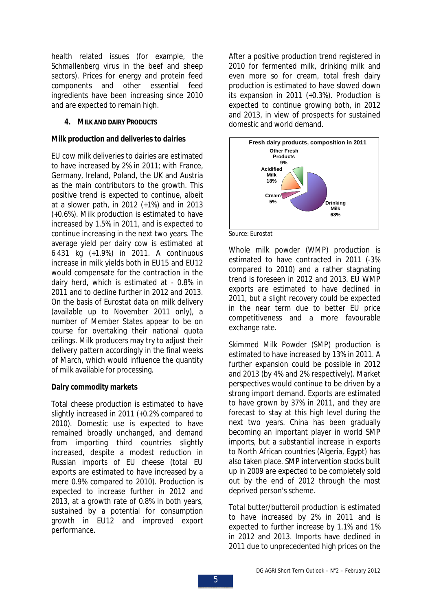health related issues (for example, the *Schmallenberg* virus in the beef and sheep sectors). Prices for energy and protein feed components and other essential feed ingredients have been increasing since 2010 and are expected to remain high.

**4. MILK AND DAIRY PRODUCTS**

#### **Milk production and deliveries to dairies**

EU cow milk deliveries to dairies are estimated to have increased by 2% in 2011; with France, Germany, Ireland, Poland, the UK and Austria as the main contributors to the growth. This positive trend is expected to continue, albeit at a slower path, in 2012 (+1%) and in 2013 (+0.6%). Milk production is estimated to have increased by 1.5% in 2011, and is expected to continue increasing in the next two years. The average yield per dairy cow is estimated at 6 431 kg (+1.9%) in 2011. A continuous increase in milk yields both in EU15 and EU12 would compensate for the contraction in the dairy herd, which is estimated at - 0.8% in 2011 and to decline further in 2012 and 2013. On the basis of Eurostat data on milk delivery (available up to November 2011 only), a number of Member States appear to be on course for overtaking their national quota ceilings. Milk producers may try to adjust their delivery pattern accordingly in the final weeks of March, which would influence the quantity of milk available for processing.

## **Dairy commodity markets**

Total cheese production is estimated to have slightly increased in 2011 (+0.2% compared to 2010). Domestic use is expected to have remained broadly unchanged, and demand from importing third countries slightly increased, despite a modest reduction in Russian imports of EU cheese (total EU exports are estimated to have increased by a mere 0.9% compared to 2010). Production is expected to increase further in 2012 and 2013, at a growth rate of 0.8% in both years, sustained by a potential for consumption growth in EU12 and improved export performance.

After a positive production trend registered in 2010 for fermented milk, drinking milk and even more so for cream, total fresh dairy production is estimated to have slowed down its expansion in 2011 (+0.3%). Production is expected to continue growing both, in 2012 and 2013, in view of prospects for sustained domestic and world demand.



Source: Eurostat

Whole milk powder (WMP) production is estimated to have contracted in 2011 (-3% compared to 2010) and a rather stagnating trend is foreseen in 2012 and 2013. EU WMP exports are estimated to have declined in 2011, but a slight recovery could be expected in the near term due to better EU price competitiveness and a more favourable exchange rate.

Skimmed Milk Powder (SMP) production is estimated to have increased by 13% in 2011. A further expansion could be possible in 2012 and 2013 (by 4% and 2% respectively). Market perspectives would continue to be driven by a strong import demand. Exports are estimated to have grown by 37% in 2011, and they are forecast to stay at this high level during the next two years. China has been gradually becoming an important player in world SMP imports, but a substantial increase in exports to North African countries (Algeria, Egypt) has also taken place. SMP intervention stocks built up in 2009 are expected to be completely sold out by the end of 2012 through the most deprived person's scheme.

Total butter/butteroil production is estimated to have increased by 2% in 2011 and is expected to further increase by 1.1% and 1% in 2012 and 2013. Imports have declined in 2011 due to unprecedented high prices on the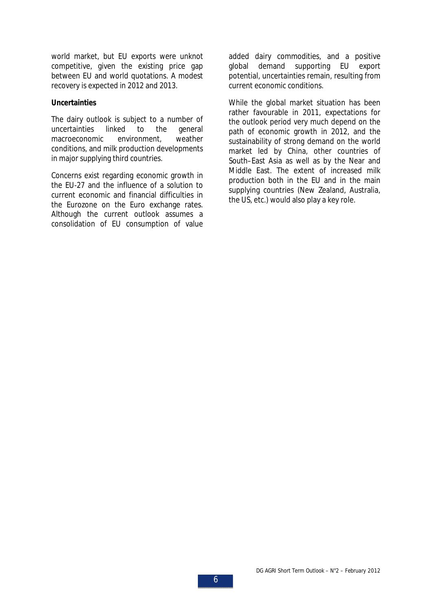world market, but EU exports were unknot competitive, given the existing price gap between EU and world quotations. A modest recovery is expected in 2012 and 2013.

#### **Uncertainties**

The dairy outlook is subject to a number of uncertainties linked to the general macroeconomic environment, weather conditions, and milk production developments in major supplying third countries.

Concerns exist regarding economic growth in the EU-27 and the influence of a solution to current economic and financial difficulties in the Eurozone on the Euro exchange rates. Although the current outlook assumes a consolidation of EU consumption of value added dairy commodities, and a positive global demand supporting EU export potential, uncertainties remain, resulting from current economic conditions.

While the global market situation has been rather favourable in 2011, expectations for the outlook period very much depend on the path of economic growth in 2012, and the sustainability of strong demand on the world market led by China, other countries of South–East Asia as well as by the Near and Middle East. The extent of increased milk production both in the EU and in the main supplying countries (New Zealand, Australia, the US, etc.) would also play a key role.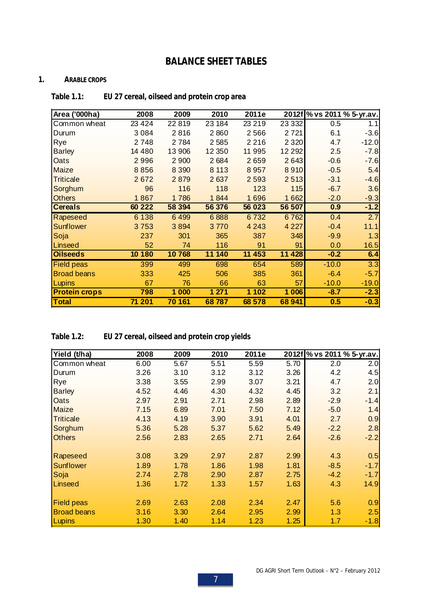# **BALANCE SHEET TABLES**

#### **1. ARABLE CROPS**

| Table 1.1: |  | EU 27 cereal, oilseed and protein crop area |  |
|------------|--|---------------------------------------------|--|
|------------|--|---------------------------------------------|--|

| Area ('000ha)        | 2008    | 2009    | 2010     | 2011e   |          |         | 2012f % vs 2011 % 5-yr.av. |
|----------------------|---------|---------|----------|---------|----------|---------|----------------------------|
| Common wheat         | 23 4 24 | 22819   | 23 184   | 23 219  | 23 332   | 0.5     | 1.1                        |
| Durum                | 3 0 8 4 | 2816    | 2860     | 2566    | 2721     | 6.1     | $-3.6$                     |
| Rye                  | 2748    | 2784    | 2585     | 2 2 1 6 | 2 3 2 0  | 4.7     | $-12.0$                    |
| <b>Barley</b>        | 14 480  | 13 906  | 12 3 5 0 | 11 995  | 12 2 9 2 | 2.5     | $-7.8$                     |
| Oats                 | 2996    | 2 900   | 2684     | 2659    | 2643     | $-0.6$  | $-7.6$                     |
| Maize                | 8856    | 8 3 9 0 | 8 1 1 3  | 8957    | 8910     | $-0.5$  | 5.4                        |
| <b>Triticale</b>     | 2672    | 2879    | 2637     | 2 5 9 3 | 2513     | $-3.1$  | $-4.6$                     |
| Sorghum              | 96      | 116     | 118      | 123     | 115      | $-6.7$  | 3.6                        |
| <b>Others</b>        | 1867    | 1786    | 1844     | 1696    | 1 6 6 2  | $-2.0$  | $-9.3$                     |
| <b>Cereals</b>       | 60 222  | 58 394  | 56 376   | 56 023  | 56 507   | 0.9     | $-1.2$                     |
| Rapeseed             | 6 1 3 8 | 6499    | 6888     | 6732    | 6762     | 0.4     | 2.7                        |
| <b>Sunflower</b>     | 3753    | 3894    | 3770     | 4 2 4 3 | 4 2 2 7  | $-0.4$  | 11.1                       |
| Soja                 | 237     | 301     | 365      | 387     | 348      | $-9.9$  | 1.3                        |
| Linseed              | 52      | 74      | 116      | 91      | 91       | 0.0     | 16.5                       |
| <b>Oilseeds</b>      | 10 180  | 10768   | 11 140   | 11 453  | 11428    | $-0.2$  | 6.4                        |
| <b>Field peas</b>    | 399     | 499     | 698      | 654     | 589      | $-10.0$ | 3.3                        |
| <b>Broad beans</b>   | 333     | 425     | 506      | 385     | 361      | $-6.4$  | $-5.7$                     |
| Lupins               | 67      | 76      | 66       | 63      | 57       | $-10.0$ | $-19.0$                    |
| <b>Protein crops</b> | 798     | 1 000   | 1 271    | 1 1 0 2 | 1 0 0 6  | $-8.7$  | $-2.3$                     |
| Total                | 71 201  | 70 161  | 68787    | 68 578  | 68 941   | 0.5     | $-0.3$                     |

**Table 1.2: EU 27 cereal, oilseed and protein crop yields**

| Yield (t/ha)       | 2008 | 2009 | 2010 | 2011e |      | 2012f % vs 2011 % 5-yr.av. |        |
|--------------------|------|------|------|-------|------|----------------------------|--------|
| Common wheat       | 6.00 | 5.67 | 5.51 | 5.59  | 5.70 | 2.0                        | 2.0    |
| Durum              | 3.26 | 3.10 | 3.12 | 3.12  | 3.26 | 4.2                        | 4.5    |
| Rye                | 3.38 | 3.55 | 2.99 | 3.07  | 3.21 | 4.7                        | 2.0    |
| <b>Barley</b>      | 4.52 | 4.46 | 4.30 | 4.32  | 4.45 | 3.2                        | 2.1    |
| Oats               | 2.97 | 2.91 | 2.71 | 2.98  | 2.89 | $-2.9$                     | $-1.4$ |
| <b>Maize</b>       | 7.15 | 6.89 | 7.01 | 7.50  | 7.12 | $-5.0$                     | 1.4    |
| <b>Triticale</b>   | 4.13 | 4.19 | 3.90 | 3.91  | 4.01 | 2.7                        | 0.9    |
| Sorghum            | 5.36 | 5.28 | 5.37 | 5.62  | 5.49 | $-2.2$                     | 2.8    |
| <b>Others</b>      | 2.56 | 2.83 | 2.65 | 2.71  | 2.64 | $-2.6$                     | $-2.2$ |
| Rapeseed           | 3.08 | 3.29 | 2.97 | 2.87  | 2.99 | 4.3                        | 0.5    |
| Sunflower          | 1.89 | 1.78 | 1.86 | 1.98  | 1.81 | $-8.5$                     | $-1.7$ |
| Soja               | 2.74 | 2.78 | 2.90 | 2.87  | 2.75 | $-4.2$                     | $-1.7$ |
| Linseed            | 1.36 | 1.72 | 1.33 | 1.57  | 1.63 | 4.3                        | 14.9   |
| <b>Field peas</b>  | 2.69 | 2.63 | 2.08 | 2.34  | 2.47 | 5.6                        | 0.9    |
| <b>Broad beans</b> | 3.16 | 3.30 | 2.64 | 2.95  | 2.99 | 1.3                        | 2.5    |
| Lupins             | 1.30 | 1.40 | 1.14 | 1.23  | 1.25 | 1.7                        | $-1.8$ |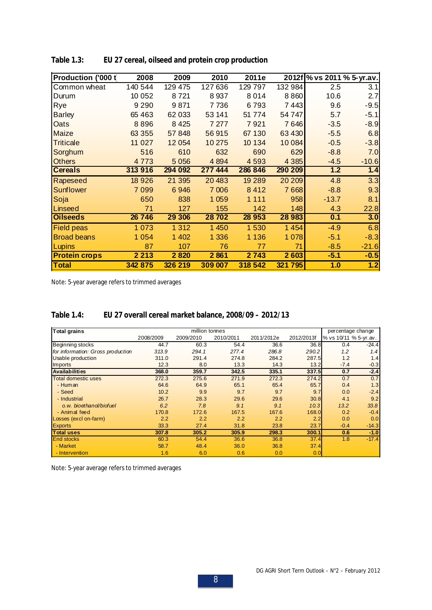| Production ('000 t   | 2008    | 2009     | 2010    | 2011e   |         | 2012f % vs 2011 % 5-yr.av. |         |
|----------------------|---------|----------|---------|---------|---------|----------------------------|---------|
| Common wheat         | 140 544 | 129 475  | 127 636 | 129 797 | 132 984 | 2.5                        | 3.1     |
| Durum                | 10 052  | 8721     | 8 9 3 7 | 8014    | 8 8 6 0 | 10.6                       | 2.7     |
| Rye                  | 9 2 9 0 | 9871     | 7736    | 6793    | 7443    | 9.6                        | $-9.5$  |
| <b>Barley</b>        | 65 4 63 | 62 033   | 53 141  | 51 774  | 54 747  | 5.7                        | $-5.1$  |
| Oats                 | 8896    | 8 4 2 5  | 7 27 7  | 7921    | 7646    | $-3.5$                     | $-8.9$  |
| Maize                | 63 355  | 57848    | 56915   | 67 130  | 63 430  | $-5.5$                     | 6.8     |
| <b>Triticale</b>     | 11 0 27 | 12 0 54  | 10 275  | 10 134  | 10084   | $-0.5$                     | $-3.8$  |
| Sorghum              | 516     | 610      | 632     | 690     | 629     | $-8.8$                     | 7.0     |
| <b>Others</b>        | 4 7 7 3 | 5 0 5 6  | 4 8 9 4 | 4 5 9 3 | 4 3 8 5 | $-4.5$                     | $-10.6$ |
| <b>Cereals</b>       | 313 916 | 294 092  | 277 444 | 286 846 | 290 209 | 1.2                        | 1.4     |
| Rapeseed             | 18 9 26 | 21 3 9 5 | 20 483  | 19 289  | 20 20 9 | 4.8                        | 3.3     |
| Sunflower            | 7 0 9 9 | 6946     | 7 0 06  | 8412    | 7668    | $-8.8$                     | 9.3     |
| Soja                 | 650     | 838      | 1 0 5 9 | 1 1 1 1 | 958     | $-13.7$                    | 8.1     |
| Linseed              | 71      | 127      | 155     | 142     | 148     | 4.3                        | 22.8    |
| <b>Oilseeds</b>      | 26 746  | 29 30 6  | 28702   | 28 953  | 28 9 83 | 0.1                        | 3.0     |
| <b>Field peas</b>    | 1 0 7 3 | 1 3 1 2  | 1 450   | 1530    | 1 4 5 4 | $-4.9$                     | 6.8     |
| <b>Broad beans</b>   | 1 0 5 4 | 1 4 0 2  | 1 3 3 6 | 1 1 3 6 | 1078    | $-5.1$                     | $-8.3$  |
| Lupins               | 87      | 107      | 76      | 77      | 71      | $-8.5$                     | $-21.6$ |
| <b>Protein crops</b> | 2 2 1 3 | 2820     | 2861    | 2743    | 2 6 0 3 | $-5.1$                     | $-0.5$  |
| Total                | 342 875 | 326 219  | 309 007 | 318 542 | 321 795 | 1.0                        | 1.2     |

**Table 1.3: EU 27 cereal, oilseed and protein crop production**

Note: 5-year average refers to trimmed averages

| Table 1.4: |  |  | EU 27 overall cereal market balance, 2008/09 - 2012/13 |
|------------|--|--|--------------------------------------------------------|
|------------|--|--|--------------------------------------------------------|

| <b>Total grains</b>               |           | million tonnes |           |            |            | percentage change     |         |
|-----------------------------------|-----------|----------------|-----------|------------|------------|-----------------------|---------|
|                                   | 2008/2009 | 2009/2010      | 2010/2011 | 2011/2012e | 2012/2013f | % vs 10/11 % 5-yr.av. |         |
| Beginning stocks                  | 44.7      | 60.3           | 54.4      | 36.6       | 36.8       | 0.4                   | $-24.4$ |
| for information: Gross production | 313.9     | 294.1          | 277.4     | 286.8      | 290.2      | 1.2                   | 1.4     |
| <b>Usable production</b>          | 311.0     | 291.4          | 274.8     | 284.2      | 287.5      | 1.2                   | 1.4     |
| Imports                           | 12.3      | 8.0            | 13.3      | 14.3       | 13.2       | $-7.4$                | $-0.3$  |
| <b>Availabilities</b>             | 368.0     | 359.7          | 342.5     | 335.1      | 337.5      | 0.7                   | $-2.4$  |
| <b>Total domestic uses</b>        | 272.3     | 275.6          | 271.9     | 272.3      | 274.2      | 0.7                   | 0.7     |
| - Human                           | 64.6      | 64.9           | 65.1      | 65.4       | 65.7       | 0.4                   | 1.3     |
| - Seed                            | 10.2      | 9.9            | 9.7       | 9.7        | 9.7        | 0.0                   | $-2.4$  |
| - Industrial                      | 26.7      | 28.3           | 29.6      | 29.6       | 30.8       | 4.1                   | 9.2     |
| o.w. bioethanol/biofuel           | 6.2       | 7.8            | 9.1       | 9.1        | 10.3       | 13.2                  | 33.8    |
| - Animal feed                     | 170.8     | 172.6          | 167.5     | 167.6      | 168.0      | 0.2                   | $-0.4$  |
| Losses (excl on-farm)             | 2.2       | 2.2            | 2.2       | 2.2        | 2.2        | 0.0                   | 0.0     |
| <b>Exports</b>                    | 33.3      | 27.4           | 31.8      | 23.8       | 23.7       | $-0.4$                | $-14.3$ |
| <b>Total uses</b>                 | 307.8     | 305.2          | 305.9     | 298.3      | 300.1      | 0.6                   | $-1.0$  |
| <b>End stocks</b>                 | 60.3      | 54.4           | 36.6      | 36.8       | 37.4       | 1.8                   | $-17.4$ |
| - Market                          | 58.7      | 48.4           | 36.0      | 36.8       | 37.4       |                       |         |
| - Intervention                    | 1.6       | 6.0            | 0.6       | 0.0        | 0.0        |                       |         |

Note: 5-year average refers to trimmed averages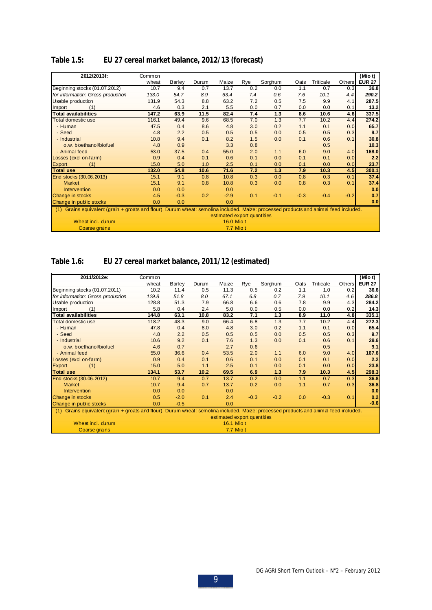| Table 1.5: |  | EU 27 cereal market balance, 2012/13 (forecast) |  |  |
|------------|--|-------------------------------------------------|--|--|
|------------|--|-------------------------------------------------|--|--|

| 2012/2013f:                                                                                                                              | Common |        |       |                             |     |         |        |           |        | (Mio t)       |
|------------------------------------------------------------------------------------------------------------------------------------------|--------|--------|-------|-----------------------------|-----|---------|--------|-----------|--------|---------------|
|                                                                                                                                          | wheat  | Barley | Durum | Maize                       | Rye | Sorghum | Oats   | Triticale | Others | <b>EUR 27</b> |
| Beginning stocks (01.07.2012)                                                                                                            | 10.7   | 9.4    | 0.7   | 13.7                        | 0.2 | 0.0     | 1.1    | 0.7       | 0.3    | 36.8          |
| for information: Gross production                                                                                                        | 133.0  | 54.7   | 8.9   | 63.4                        | 7.4 | 0.6     | 7.6    | 10.1      | 4.4    | 290.2         |
| Usable production                                                                                                                        | 131.9  | 54.3   | 8.8   | 63.2                        | 7.2 | 0.5     | 7.5    | 9.9       | 4.1    | 287.5         |
| (1)<br>Import                                                                                                                            | 4.6    | 0.3    | 2.1   | 5.5                         | 0.0 | 0.7     | 0.0    | 0.0       | 0.1    | 13.2          |
| <b>Total availabilities</b>                                                                                                              | 147.2  | 63.9   | 11.5  | 82.4                        | 7.4 | 1.3     | 8.6    | 10.6      | 4.6    | 337.5         |
| Total domestic use                                                                                                                       | 116.1  | 49.4   | 9.6   | 68.5                        | 7.0 | 1.3     | 7.7    | 10.2      | 4.4    | 274.2         |
| - Human                                                                                                                                  | 47.5   | 0.4    | 8.6   | 4.8                         | 3.0 | 0.2     | 1.1    | 0.1       | 0.0    | 65.7          |
| - Seed                                                                                                                                   | 4.8    | 2.2    | 0.5   | 0.5                         | 0.5 | 0.0     | 0.5    | 0.5       | 0.3    | 9.7           |
| - Industrial                                                                                                                             | 10.8   | 9.4    | 0.1   | 8.2                         | 1.5 | 0.0     | 0.1    | 0.6       | 0.1    | 30.8          |
| o.w. bioethanol/biofuel                                                                                                                  | 4.8    | 0.9    |       | 3.3                         | 0.8 |         |        | 0.5       |        | 10.3          |
| - Animal feed                                                                                                                            | 53.0   | 37.5   | 0.4   | 55.0                        | 2.0 | 1.1     | 6.0    | 9.0       | 4.0    | 168.0         |
| Losses (excl on-farm)                                                                                                                    | 0.9    | 0.4    | 0.1   | 0.6                         | 0.1 | 0.0     | 0.1    | 0.1       | 0.0    | 2.2           |
| <b>Export</b><br>(1)                                                                                                                     | 15.0   | 5.0    | 1.0   | 2.5                         | 0.1 | 0.0     | 0.1    | 0.0       | 0.0    | 23.7          |
| <b>Total use</b>                                                                                                                         | 132.0  | 54.8   | 10.6  | 71.6                        | 7.2 | 1.3     | 7.9    | 10.3      | 4.5    | 300.1         |
| End stocks (30.06.2013)                                                                                                                  | 15.1   | 9.1    | 0.8   | 10.8                        | 0.3 | 0.0     | 0.8    | 0.3       | 0.1    | 37.4          |
| <b>Market</b>                                                                                                                            | 15.1   | 9.1    | 0.8   | 10.8                        | 0.3 | 0.0     | 0.8    | 0.3       | 0.1    | 37.4          |
| Intervention                                                                                                                             | 0.0    | 0.0    |       | 0.0                         |     |         |        |           |        | 0.0           |
| Change in stocks                                                                                                                         | 4.5    | $-0.3$ | 0.2   | $-2.9$                      | 0.1 | $-0.1$  | $-0.3$ | $-0.4$    | $-0.2$ | 0.7           |
| Change in public stocks                                                                                                                  | 0.0    | 0.0    |       | 0.0                         |     |         |        |           |        | 0.0           |
| Grains equivalent (grain + groats and flour). Durum wheat: semolina included. Maize: processed products and animal feed included.<br>(1) |        |        |       |                             |     |         |        |           |        |               |
|                                                                                                                                          |        |        |       | estimated export quantities |     |         |        |           |        |               |
| Wheat incl. durum                                                                                                                        |        |        |       | 16.0 Mio t                  |     |         |        |           |        |               |
| Coarse grains                                                                                                                            |        |        |       | 7.7 Miot                    |     |         |        |           |        |               |

## **Table 1.6: EU 27 cereal market balance, 2011/12 (estimated)**

| 2011/2012e:                                                                                                                              | Common |        |       |                             |        |         |      |           |               | (Mio t)       |
|------------------------------------------------------------------------------------------------------------------------------------------|--------|--------|-------|-----------------------------|--------|---------|------|-----------|---------------|---------------|
|                                                                                                                                          | wheat  | Barley | Durum | Maize                       | Rye    | Sorghum | Oats | Triticale | <b>Others</b> | <b>EUR 27</b> |
| Beginning stocks (01.07.2011)                                                                                                            | 10.2   | 11.4   | 0.5   | 11.3                        | 0.5    | 0.2     | 1.1  | 1.0       | 0.2           | 36.6          |
| for information: Gross production                                                                                                        | 129.8  | 51.8   | 8.0   | 67.1                        | 6.8    | 0.7     | 7.9  | 10.1      | 4.6           | 286.8         |
| Usable production                                                                                                                        | 128.8  | 51.3   | 7.9   | 66.8                        | 6.6    | 0.6     | 7.8  | 9.9       | 4.3           | 284.2         |
| (1)<br>Import                                                                                                                            | 5.8    | 0.4    | 2.4   | 5.0                         | 0.0    | 0.5     | 0.0  | 0.0       | 0.2           | 14.3          |
| <b>Total availabilities</b>                                                                                                              | 144.8  | 63.1   | 10.8  | 83.2                        | 7.1    | $1.3$   | 8.9  | 11.0      | 4.8           | 335.1         |
| Total domestic use                                                                                                                       | 118.2  | 48.3   | 9.0   | 66.4                        | 6.8    | 1.3     | 7.7  | 10.2      | 4.4           | 272.3         |
| - Human                                                                                                                                  | 47.8   | 0.4    | 8.0   | 4.8                         | 3.0    | 0.2     | 1.1  | 0.1       | 0.0           | 65.4          |
| - Seed                                                                                                                                   | 4.8    | 2.2    | 0.5   | 0.5                         | 0.5    | 0.0     | 0.5  | 0.5       | 0.3           | 9.7           |
| - Industrial                                                                                                                             | 10.6   | 9.2    | 0.1   | 7.6                         | 1.3    | 0.0     | 0.1  | 0.6       | 0.1           | 29.6          |
| o.w. bioethanol/biofuel                                                                                                                  | 4.6    | 0.7    |       | 2.7                         | 0.6    |         |      | 0.5       |               | 9.1           |
| - Animal feed                                                                                                                            | 55.0   | 36.6   | 0.4   | 53.5                        | 2.0    | 1.1     | 6.0  | 9.0       | 4.0           | 167.6         |
| Losses (excl on-farm)                                                                                                                    | 0.9    | 0.4    | 0.1   | 0.6                         | 0.1    | 0.0     | 0.1  | 0.1       | 0.0           | 2.2           |
| <b>Export</b><br>(1)                                                                                                                     | 15.0   | 5.0    | 1.1   | 2.5                         | 0.1    | 0.0     | 0.1  | 0.0       | 0.0           | 23.8          |
| <b>Total use</b>                                                                                                                         | 134.1  | 53.7   | 10.2  | 69.5                        | 6.9    | 1.3     | 7.9  | 10.3      | 4.5           | 298.3         |
| End stocks (30.06.2012)                                                                                                                  | 10.7   | 9.4    | 0.7   | 13.7                        | 0.2    | 0.0     | 1.1  | 0.7       | 0.3           | 36.8          |
| Market                                                                                                                                   | 10.7   | 9.4    | 0.7   | 13.7                        | 0.2    | 0.0     | 1.1  | 0.7       | 0.3           | 36.8          |
| Intervention                                                                                                                             | 0.0    | 0.0    |       | 0.0                         |        |         |      |           |               | 0.0           |
| Change in stocks                                                                                                                         | 0.5    | $-2.0$ | 0.1   | 2.4                         | $-0.3$ | $-0.2$  | 0.0  | $-0.3$    | 0.1           | 0.2           |
| Change in public stocks                                                                                                                  | 0.0    | $-0.5$ |       | 0.0                         |        |         |      |           |               | $-0.6$        |
| Grains equivalent (grain + groats and flour). Durum wheat: semolina included. Maize: processed products and animal feed included.<br>(1) |        |        |       |                             |        |         |      |           |               |               |
|                                                                                                                                          |        |        |       | estimated export quantities |        |         |      |           |               |               |
| Wheat incl. durum                                                                                                                        |        |        |       | 16.1 Mio t                  |        |         |      |           |               |               |
| <b>Coarse grains</b>                                                                                                                     |        |        |       | 7.7 Mio t                   |        |         |      |           |               |               |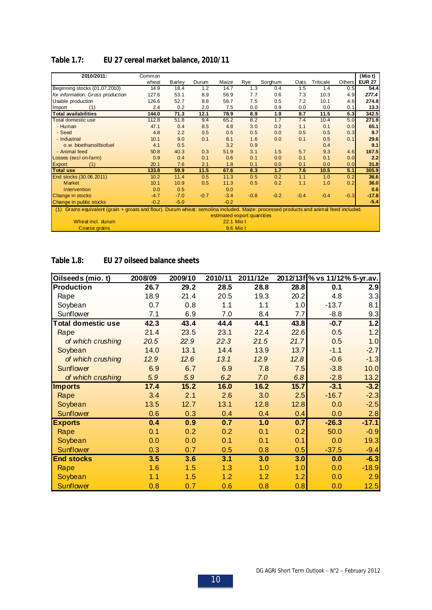| 2010/2011:                                                                                                                               | Common |        |        |                             |        |         |        |           |               | (Mio t)       |
|------------------------------------------------------------------------------------------------------------------------------------------|--------|--------|--------|-----------------------------|--------|---------|--------|-----------|---------------|---------------|
|                                                                                                                                          | wheat  | Barley | Durum  | Maize                       | Rye    | Sorghum | Oats   | Triticale | <b>Others</b> | <b>EUR 27</b> |
| Beginning stocks (01.07.2010)                                                                                                            | 14.9   | 18.4   | 1.2    | 14.7                        | 1.3    | 0.4     | 1.5    | 1.4       | 0.5           | 54.4          |
| for information: Gross production                                                                                                        | 127.6  | 53.1   | 8.9    | 56.9                        | 7.7    | 0.6     | 7.3    | 10.3      | 4.9           | 277.4         |
| Usable production                                                                                                                        | 126.6  | 52.7   | 8.8    | 56.7                        | 7.5    | 0.5     | 7.2    | 10.1      | 4.6           | 274.8         |
| (1)<br>Import                                                                                                                            | 2.4    | 0.2    | 2.0    | 7.5                         | 0.0    | 0.9     | 0.0    | 0.0       | 0.1           | 13.3          |
| <b>Total availabilities</b>                                                                                                              | 144.0  | 71.3   | 12.1   | 78.9                        | 8.9    | 1.9     | 8.7    | 11.5      | 5.3           | 342.5         |
| Total domestic use                                                                                                                       | 112.8  | 51.8   | 9.4    | 65.2                        | 8.2    | 1.7     | 7.4    | 10.4      | 5.0           | 271.9         |
| - Human                                                                                                                                  | 47.1   | 0.4    | 8.5    | 4.8                         | 3.0    | 0.2     | 1.1    | 0.1       | 0.0           | 65.1          |
| - Seed                                                                                                                                   | 4.8    | 2.2    | 0.5    | 0.5                         | 0.5    | 0.0     | 0.5    | 0.5       | 0.3           | 9.7           |
| - Industrial                                                                                                                             | 10.1   | 9.0    | 0.1    | 8.1                         | 1.6    | 0.0     | 0.1    | 0.5       | 0.1           | 29.6          |
| o.w. bioethanol/biofuel                                                                                                                  | 4.1    | 0.5    |        | 3.2                         | 0.9    |         |        | 0.4       |               | 9.1           |
| - Animal feed                                                                                                                            | 50.8   | 40.3   | 0.3    | 51.9                        | 3.1    | 1.5     | 5.7    | 9.3       | 4.6           | 167.5         |
| Losses (excl on-farm)                                                                                                                    | 0.9    | 0.4    | 0.1    | 0.6                         | 0.1    | 0.0     | 0.1    | 0.1       | 0.0           | 2.2           |
| <b>Export</b><br>(1)                                                                                                                     | 20.1   | 7.6    | 2.1    | 1.8                         | 0.1    | 0.0     | 0.1    | 0.0       | 0.0           | 31.8          |
| <b>Total use</b>                                                                                                                         | 133.8  | 59.9   | 11.5   | 67.6                        | 8.3    | 1.7     | 7.6    | 10.5      | 5.1           | 305.9         |
| End stocks (30.06.2011)                                                                                                                  | 10.2   | 11.4   | 0.5    | 11.3                        | 0.5    | 0.2     | 1.1    | 1.0       | 0.2           | 36.6          |
| Market                                                                                                                                   | 10.1   | 10.9   | 0.5    | 11.3                        | 0.5    | 0.2     | 1.1    | 1.0       | 0.2           | 36.0          |
| Intervention                                                                                                                             | 0.0    | 0.5    |        | 0.0                         |        |         |        |           |               | 0.6           |
| Change in stocks                                                                                                                         | $-4.7$ | $-7.0$ | $-0.7$ | $-3.4$                      | $-0.8$ | $-0.2$  | $-0.4$ | $-0.4$    | $-0.3$        | $-17.8$       |
| Change in public stocks                                                                                                                  | $-0.2$ | $-5.0$ |        | $-0.2$                      |        |         |        |           |               | $-5.4$        |
| Grains equivalent (grain + groats and flour). Durum wheat: semolina included. Maize: processed products and animal feed included.<br>(1) |        |        |        |                             |        |         |        |           |               |               |
|                                                                                                                                          |        |        |        | estimated export quantities |        |         |        |           |               |               |
| Wheat incl. durum                                                                                                                        |        |        |        | 22.1 Mio t                  |        |         |        |           |               |               |
| Coarse grains                                                                                                                            |        |        |        | 9.6 Mio t                   |        |         |        |           |               |               |

## **Table 1.7: EU 27 cereal market balance, 2010/11**

**Table 1.8: EU 27 oilseed balance sheets**

| Oilseeds (mio. t)         | 2008/09 | 2009/10 | 2010/11 | 2011/12e |      | 2012/13f % vs 11/12% 5-yr.av. |         |
|---------------------------|---------|---------|---------|----------|------|-------------------------------|---------|
| Production                | 26.7    | 29.2    | 28.5    | 28.8     | 28.8 | 0.1                           | 2.9     |
| Rape                      | 18.9    | 21.4    | 20.5    | 19.3     | 20.2 | 4.8                           | 3.3     |
| Soybean                   | 0.7     | 0.8     | 1.1     | 1.1      | 1.0  | $-13.7$                       | 8.1     |
| Sunflower                 | 7.1     | 6.9     | 7.0     | 8.4      | 7.7  | $-8.8$                        | 9.3     |
| <b>Total domestic use</b> | 42.3    | 43.4    | 44.4    | 44.1     | 43.8 | $-0.7$                        | 1.2     |
| Rape                      | 21.4    | 23.5    | 23.1    | 22.4     | 22.6 | 0.5                           | 1.2     |
| of which crushing         | 20.5    | 22.9    | 22.3    | 21.5     | 21.7 | 0.5                           | 1.0     |
| Soybean                   | 14.0    | 13.1    | 14.4    | 13.9     | 13.7 | $-1.1$                        | $-2.7$  |
| of which crushing         | 12.9    | 12.6    | 13.1    | 12.9     | 12.8 | $-0.6$                        | $-1.3$  |
| <b>Sunflower</b>          | 6.9     | 6.7     | 6.9     | 7.8      | 7.5  | $-3.8$                        | 10.0    |
| of which crushing         | 5.9     | 5.9     | 6.2     | 7.0      | 6.8  | $-2.8$                        | 13.2    |
| <b>Imports</b>            | 17.4    | 15.2    | 16.0    | 16.2     | 15.7 | $-3.1$                        | $-3.2$  |
| Rape                      | 3.4     | 2.1     | 2.6     | 3.0      | 2.5  | $-16.7$                       | $-2.3$  |
| Soybean                   | 13.5    | 12.7    | 13.1    | 12.8     | 12.8 | 0.0                           | $-2.5$  |
| Sunflower                 | 0.6     | 0.3     | 0.4     | 0.4      | 0.4  | 0.0                           | 2.8     |
| <b>Exports</b>            | 0.4     | 0.9     | 0.7     | 1.0      | 0.7  | $-26.3$                       | $-17.1$ |
| Rape                      | 0.1     | 0.2     | 0.2     | 0.1      | 0.2  | 50.0                          | $-0.9$  |
| Soybean                   | 0.0     | 0.0     | 0.1     | 0.1      | 0.1  | 0.0                           | 19.3    |
| <b>Sunflower</b>          | 0.3     | 0.7     | 0.5     | 0.8      | 0.5  | $-37.5$                       | $-9.4$  |
| <b>End stocks</b>         | 3.5     | 3.6     | 3.1     | 3.0      | 3.0  | 0.0                           | $-6.3$  |
| Rape                      | 1.6     | 1.5     | 1.3     | 1.0      | 1.0  | 0.0                           | $-18.9$ |
| Soybean                   | 1.1     | 1.5     | 1.2     | 1.2      | 1.2  | 0.0                           | 2.9     |
| <b>Sunflower</b>          | 0.8     | 0.7     | 0.6     | 0.8      | 0.8  | 0.0                           | 12.5    |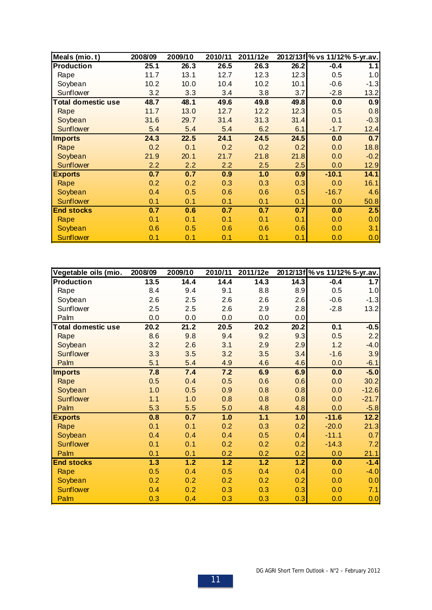| Meals (mio.t)             | 2008/09 | 2009/10 | 2010/11 | 2011/12e |      | 2012/13f % vs 11/12% 5-yr.av. |        |
|---------------------------|---------|---------|---------|----------|------|-------------------------------|--------|
| Production                | 25.1    | 26.3    | 26.5    | 26.3     | 26.2 | $-0.4$                        | 1.1    |
| Rape                      | 11.7    | 13.1    | 12.7    | 12.3     | 12.3 | 0.5                           | 1.0    |
| Soybean                   | 10.2    | 10.0    | 10.4    | 10.2     | 10.1 | $-0.6$                        | $-1.3$ |
| Sunflower                 | 3.2     | 3.3     | 3.4     | 3.8      | 3.7  | $-2.8$                        | 13.2   |
| <b>Total domestic use</b> | 48.7    | 48.1    | 49.6    | 49.8     | 49.8 | 0.0                           | 0.9    |
| Rape                      | 11.7    | 13.0    | 12.7    | 12.2     | 12.3 | 0.5                           | 0.8    |
| Soybean                   | 31.6    | 29.7    | 31.4    | 31.3     | 31.4 | 0.1                           | $-0.3$ |
| Sunflower                 | 5.4     | 5.4     | 5.4     | 6.2      | 6.1  | $-1.7$                        | 12.4   |
| <b>Imports</b>            | 24.3    | 22.5    | 24.1    | 24.5     | 24.5 | 0.0                           | 0.7    |
| Rape                      | 0.2     | 0.1     | 0.2     | 0.2      | 0.2  | 0.0                           | 18.8   |
| Soybean                   | 21.9    | 20.1    | 21.7    | 21.8     | 21.8 | 0.0                           | $-0.2$ |
| <b>Sunflower</b>          | 2.2     | 2.2     | 2.2     | 2.5      | 2.5  | 0.0                           | 12.9   |
| <b>Exports</b>            | 0.7     | 0.7     | 0.9     | 1.0      | 0.9  | $-10.1$                       | 14.1   |
| Rape                      | 0.2     | 0.2     | 0.3     | 0.3      | 0.3  | 0.0                           | 16.1   |
| Soybean                   | 0.4     | 0.5     | 0.6     | 0.6      | 0.5  | $-16.7$                       | 4.6    |
| Sunflower                 | 0.1     | 0.1     | 0.1     | 0.1      | 0.1  | 0.0                           | 50.8   |
| <b>End stocks</b>         | 0.7     | 0.6     | 0.7     | 0.7      | 0.7  | 0.0                           | 2.5    |
| Rape                      | 0.1     | 0.1     | 0.1     | 0.1      | 0.1  | 0.0                           | 0.0    |
| Soybean                   | 0.6     | 0.5     | 0.6     | 0.6      | 0.6  | 0.0                           | 3.1    |
| <b>Sunflower</b>          | 0.1     | 0.1     | 0.1     | 0.1      | 0.1  | 0.0                           | 0.0    |

| Vegetable oils (mio.      | 2008/09 | 2009/10 | 2010/11 | 2011/12e |               | 2012/13f % vs 11/12% 5-yr.av. |         |
|---------------------------|---------|---------|---------|----------|---------------|-------------------------------|---------|
| Production                | 13.5    | 14.4    | 14.4    | 14.3     | 14.3          | $-0.4$                        | 1.7     |
| Rape                      | 8.4     | 9.4     | 9.1     | 8.8      | 8.9           | 0.5                           | 1.0     |
| Soybean                   | 2.6     | 2.5     | 2.6     | 2.6      | 2.6           | $-0.6$                        | $-1.3$  |
| Sunflower                 | 2.5     | 2.5     | 2.6     | 2.9      | 2.8           | $-2.8$                        | 13.2    |
| Palm                      | 0.0     | 0.0     | 0.0     | 0.0      | 0.0           |                               |         |
| <b>Total domestic use</b> | 20.2    | 21.2    | 20.5    | 20.2     | 20.2          | 0.1                           | $-0.5$  |
| Rape                      | 8.6     | 9.8     | 9.4     | 9.2      | 9.3           | 0.5                           | 2.2     |
| Soybean                   | 3.2     | 2.6     | 3.1     | 2.9      | 2.9           | 1.2                           | $-4.0$  |
| Sunflower                 | 3.3     | 3.5     | 3.2     | 3.5      | 3.4           | $-1.6$                        | 3.9     |
| Palm                      | 5.1     | 5.4     | 4.9     | 4.6      | 4.6           | 0.0                           | $-6.1$  |
| <b>Imports</b>            | 7.8     | 7.4     | 7.2     | 6.9      | 6.9           | 0.0                           | $-5.0$  |
| Rape                      | 0.5     | 0.4     | 0.5     | 0.6      | 0.6           | 0.0                           | 30.2    |
| Soybean                   | 1.0     | 0.5     | 0.9     | 0.8      | 0.8           | 0.0                           | $-12.6$ |
| <b>Sunflower</b>          | 1.1     | 1.0     | 0.8     | 0.8      | 0.8           | 0.0                           | $-21.7$ |
| Palm                      | 5.3     | 5.5     | 5.0     | 4.8      | 4.8           | 0.0                           | $-5.8$  |
| <b>Exports</b>            | 0.8     | 0.7     | 1.0     | 1.1      | 1.0           | $-11.6$                       | 12.2    |
| Rape                      | 0.1     | 0.1     | 0.2     | 0.3      | 0.2           | $-20.0$                       | 21.3    |
| Soybean                   | 0.4     | 0.4     | 0.4     | 0.5      | 0.4           | $-11.1$                       | 0.7     |
| <b>Sunflower</b>          | 0.1     | 0.1     | 0.2     | 0.2      | 0.2           | $-14.3$                       | 7.2     |
| Palm                      | 0.1     | 0.1     | 0.2     | 0.2      | 0.2           | 0.0                           | 21.1    |
| <b>End stocks</b>         | 1.3     | 1.2     | 1.2     | 1.2      | $\boxed{1.2}$ | 0.0                           | $-1.4$  |
| Rape                      | 0.5     | 0.4     | 0.5     | 0.4      | 0.4           | 0.0                           | $-4.0$  |
| Soybean                   | 0.2     | 0.2     | 0.2     | 0.2      | 0.2           | 0.0                           | 0.0     |
| <b>Sunflower</b>          | 0.4     | 0.2     | 0.3     | 0.3      | 0.3           | 0.0                           | 7.1     |
| Palm                      | 0.3     | 0.4     | 0.3     | 0.3      | 0.3           | 0.0                           | 0.0     |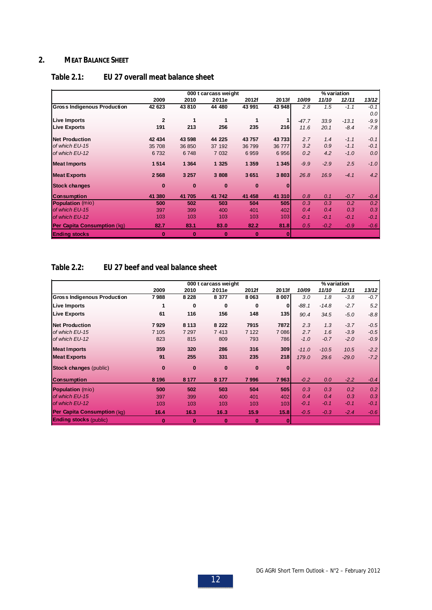## **2. MEAT BALANCE SHEET**

|                                    |                |          | 000 t carcass weight |          |          |         | % variation |         |        |
|------------------------------------|----------------|----------|----------------------|----------|----------|---------|-------------|---------|--------|
|                                    | 2009           | 2010     | 2011e                | 2012f    | 2013f    | 10/09   | 11/10       | 12/11   | 13/12  |
| <b>Gross Indigenous Production</b> | 42 623         | 43810    | 44 480               | 43 991   | 43 948   | 2.8     | 1.5         | $-1.1$  | $-0.1$ |
|                                    |                |          |                      |          |          |         |             |         | 0.0    |
| Live Imports                       | $\overline{2}$ | 1        | 1                    | 1        |          | $-47.7$ | 33.9        | $-13.1$ | $-9.9$ |
| <b>Live Exports</b>                | 191            | 213      | 256                  | 235      | 216      | 11.6    | 20.1        | $-8.4$  | $-7.8$ |
| <b>Net Production</b>              | 42 434         | 43 598   | 44 225               | 43757    | 43 733   | 2.7     | 1.4         | $-1.1$  | $-0.1$ |
| of which EU-15                     | 35 708         | 36 850   | 37 192               | 36799    | 36 777   | 3.2     | 0.9         | $-1.1$  | $-0.1$ |
| of which EU-12                     | 6732           | 6748     | 7 0 32               | 6959     | 6956     | 0.2     | 4.2         | $-1.0$  | 0.0    |
| <b>Meat Imports</b>                | 1514           | 1 3 6 4  | 1 3 2 5              | 1 3 5 9  | 1 3 4 5  | $-9.9$  | $-2.9$      | 2.5     | $-1.0$ |
| <b>Meat Exports</b>                | 2568           | 3 2 5 7  | 3 808                | 3651     | 3803     | 26.8    | 16.9        | $-4.1$  | 4.2    |
| <b>Stock changes</b>               | $\bf{0}$       | $\bf{0}$ | $\mathbf{0}$         | $\bf{0}$ | $\Omega$ |         |             |         |        |
| <b>Consumption</b>                 | 41 380         | 41705    | 41 742               | 41 458   | 41 310   | 0.8     | 0.1         | $-0.7$  | $-0.4$ |
| <b>Population</b> (mio)            | 500            | 502      | 503                  | 504      | 505      | 0.3     | 0.3         | 0.2     | 0.2    |
| of which EU-15                     | 397            | 399      | 400                  | 401      | 402      | 0.4     | 0.4         | 0.3     | 0.3    |
| of which EU-12                     | 103            | 103      | 103                  | 103      | 103      | $-0.1$  | $-0.1$      | $-0.1$  | $-0.1$ |
| <b>Per Capita Consumption (kg)</b> | 82.7           | 83.1     | 83.0                 | 82.2     | 81.8     | 0.5     | $-0.2$      | $-0.9$  | $-0.6$ |
| <b>Ending stocks</b>               | $\bf{0}$       | $\bf{0}$ | $\bf{0}$             | $\bf{0}$ | $\bf{0}$ |         |             |         |        |

## **Table 2.1: EU 27 overall meat balance sheet**

## **Table 2.2: EU 27 beef and veal balance sheet**

|                                    |          |          | 000 t carcass weight |          |              |         | % variation |         |        |
|------------------------------------|----------|----------|----------------------|----------|--------------|---------|-------------|---------|--------|
|                                    | 2009     | 2010     | 2011e                | 2012f    | 2013f        | 10/09   | 11/10       | 12/11   | 13/12  |
| <b>Gross Indigenous Production</b> | 7988     | 8 2 2 8  | 8 3 7 7              | 8063     | 8 0 0 7      | 3.0     | 1.8         | $-3.8$  | $-0.7$ |
| <b>Live Imports</b>                | 1        | 0        | 0                    | 0        | 0            | $-88.1$ | $-14.8$     | $-2.7$  | 5.2    |
| <b>Live Exports</b>                | 61       | 116      | 156                  | 148      | 135          | 90.4    | 34.5        | $-5.0$  | $-8.8$ |
| <b>Net Production</b>              | 7929     | 8 1 1 3  | 8 2 2 2              | 7915     | 7872         | 2.3     | 1.3         | $-3.7$  | $-0.5$ |
| of which EU-15                     | 7 1 0 5  | 7 2 9 7  | 7 4 1 3              | 7 1 2 2  | 7086         | 2.7     | 1.6         | $-3.9$  | $-0.5$ |
| of which EU-12                     | 823      | 815      | 809                  | 793      | 786          | $-1.0$  | $-0.7$      | $-2.0$  | $-0.9$ |
| <b>Meat Imports</b>                | 359      | 320      | 286                  | 316      | 309          | $-11.0$ | $-10.5$     | 10.5    | $-2.2$ |
| <b>Meat Exports</b>                | 91       | 255      | 331                  | 235      | 218          | 179.0   | 29.6        | $-29.0$ | $-7.2$ |
| <b>Stock changes (public)</b>      | $\bf{0}$ | $\bf{0}$ | $\bf{0}$             | $\bf{0}$ | $\Omega$     |         |             |         |        |
| <b>Consumption</b>                 | 8 1 9 6  | 8 1 7 7  | 8 177                | 7996     | 7963         | $-0.2$  | 0.0         | $-2.2$  | $-0.4$ |
| <b>Population</b> (mio)            | 500      | 502      | 503                  | 504      | 505          | 0.3     | 0.3         | 0.2     | 0.2    |
| of which EU-15                     | 397      | 399      | 400                  | 401      | 402          | 0.4     | 0.4         | 0.3     | 0.3    |
| of which EU-12                     | 103      | 103      | 103                  | 103      | 103          | $-0.1$  | $-0.1$      | $-0.1$  | $-0.1$ |
| <b>Per Capita Consumption (kg)</b> | 16.4     | 16.3     | 16.3                 | 15.9     | 15.8         | $-0.5$  | $-0.3$      | $-2.4$  | $-0.6$ |
| <b>Ending stocks (public)</b>      | 0        | $\bf{0}$ | $\bf{0}$             | $\bf{0}$ | $\mathbf{0}$ |         |             |         |        |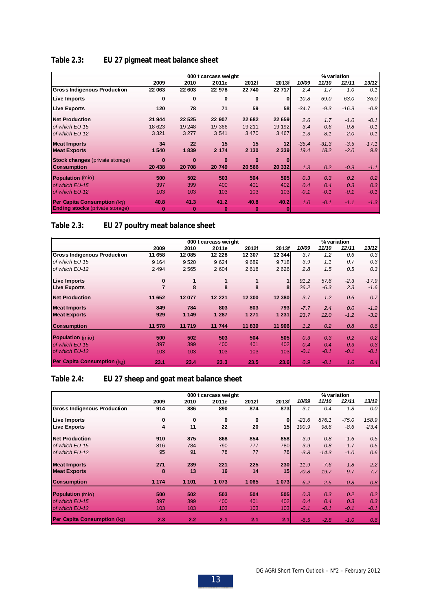|                                        |          |          | 000 t carcass weight |          |              |         | % variation |         |         |
|----------------------------------------|----------|----------|----------------------|----------|--------------|---------|-------------|---------|---------|
|                                        | 2009     | 2010     | 2011e                | 2012f    | 2013f        | 10/09   | 11/10       | 12/11   | 13/12   |
| <b>Gross Indigenous Production</b>     | 22 063   | 22 603   | 22 978               | 22 740   | 22 717       | 2.4     | 1.7         | $-1.0$  | $-0.1$  |
| Live Imports                           | 0        | 0        | $\bf{0}$             | $\bf{0}$ | $\mathbf{0}$ | $-10.8$ | $-69.0$     | $-63.0$ | $-36.0$ |
| <b>Live Exports</b>                    | 120      | 78       | 71                   | 59       | 58           | $-34.7$ | $-9.3$      | $-16.9$ | $-0.8$  |
| <b>Net Production</b>                  | 21 944   | 22 5 25  | 22 907               | 22 682   | 22 659       | 2.6     | 1.7         | $-1.0$  | $-0.1$  |
| of which EU-15                         | 18 6 23  | 19 248   | 19 366               | 19 211   | 19 19 2      | 3.4     | 0.6         | $-0.8$  | $-0.1$  |
| of which EU-12                         | 3 3 2 1  | 3 2 7 7  | 3 5 4 1              | 3 4 7 0  | 3 4 6 7      | $-1.3$  | 8.1         | $-2.0$  | $-0.1$  |
| <b>Meat Imports</b>                    | 34       | 22       | 15                   | 15       | 12           | $-35.4$ | $-31.3$     | $-3.5$  | $-17.1$ |
| <b>Meat Exports</b>                    | 1 540    | 1839     | 2 174                | 2 1 3 0  | 2 3 3 9      | 19.4    | 18.2        | $-2.0$  | 9.8     |
| <b>Stock changes (private storage)</b> | $\Omega$ | $\bf{0}$ | $\Omega$             | $\bf{0}$ | n            |         |             |         |         |
| <b>Consumption</b>                     | 20 438   | 20708    | 20 749               | 20 566   | 20 332       | 1.3     | 0.2         | $-0.9$  | $-1.1$  |
| <b>Population</b> (mio)                | 500      | 502      | 503                  | 504      | 505          | 0.3     | 0.3         | 0.2     | 0.2     |
| of which EU-15                         | 397      | 399      | 400                  | 401      | 402          | 0.4     | 0.4         | 0.3     | 0.3     |
| of which EU-12                         | 103      | 103      | 103                  | 103      | 103          | $-0.1$  | $-0.1$      | $-0.1$  | $-0.1$  |
| <b>Per Capita Consumption (kg)</b>     | 40.8     | 41.3     | 41.2                 | 40.8     | 40.2         | 1.0     | $-0.1$      | $-1.1$  | $-1.3$  |
| <b>Ending stocks</b> (private storage) | 0        | $\bf{0}$ | $\bf{0}$             | $\bf{0}$ | $\mathbf{0}$ |         |             |         |         |

## **Table 2.3: EU 27 pigmeat meat balance sheet**

**Table 2.3: EU 27 poultry meat balance sheet**

|                                    |         |         | 000 t carcass weight |         |         |        | % variation |        |         |
|------------------------------------|---------|---------|----------------------|---------|---------|--------|-------------|--------|---------|
|                                    | 2009    | 2010    | 2011e                | 2012f   | 2013f   | 10/09  | 11/10       | 12/11  | 13/12   |
| <b>Gross Indigenous Production</b> | 11 658  | 12085   | 12 228               | 12 307  | 12 344  | 3.7    | 1.2         | 0.6    | 0.3     |
| of which EU-15                     | 9 1 6 4 | 9520    | 9 6 24               | 9689    | 9718    | 3.9    | 1.1         | 0.7    | 0.3     |
| of which EU-12                     | 2 4 9 4 | 2565    | 2 604                | 2618    | 2626    | 2.8    | 1.5         | 0.5    | 0.3     |
| <b>Live Imports</b>                | 0       | 1       |                      |         |         | 91.2   | 57.6        | $-2.3$ | $-17.9$ |
| <b>Live Exports</b>                |         | 8       | 8                    | 8       | 8       | 26.2   | $-6.3$      | 2.3    | $-1.6$  |
| <b>Net Production</b>              | 11 652  | 12077   | 12 221               | 12 300  | 12 380  | 3.7    | 1.2         | 0.6    | 0.7     |
| <b>Meat Imports</b>                | 849     | 784     | 803                  | 803     | 793     | $-7.7$ | 2.4         | 0.0    | $-1.2$  |
| <b>Meat Exports</b>                | 929     | 1 1 4 9 | 1 287                | 1 2 7 1 | 1 2 3 1 | 23.7   | 12.0        | $-1.2$ | $-3.2$  |
| <b>Consumption</b>                 | 11 578  | 11719   | 11 744               | 11839   | 11 906  | 1.2    | 0.2         | 0.8    | 0.6     |
| <b>Population</b> (mio)            | 500     | 502     | 503                  | 504     | 505     | 0.3    | 0.3         | 0.2    | 0.2     |
| of which EU-15                     | 397     | 399     | 400                  | 401     | 402     | 0.4    | 0.4         | 0.3    | 0.3     |
| of which EU-12                     | 103     | 103     | 103                  | 103     | 103     | $-0.1$ | $-0.1$      | $-0.1$ | $-0.1$  |
| <b>Per Capita Consumption (kg)</b> | 23.1    | 23.4    | 23.3                 | 23.5    | 23.6    | 0.9    | $-0.1$      | 1.0    | 0.4     |

# **Table 2.4: EU 27 sheep and goat meat balance sheet**

|                                    |          |         | 000 t carcass weight |         |              |         | % variation |         |         |
|------------------------------------|----------|---------|----------------------|---------|--------------|---------|-------------|---------|---------|
|                                    | 2009     | 2010    | 2011e                | 2012f   | 2013f        | 10/09   | 11/10       | 12/11   | 13/12   |
| <b>Gross Indigenous Production</b> | 914      | 886     | 890                  | 874     | 873          | $-3.1$  | 0.4         | $-1.8$  | 0.0     |
| <b>Live Imports</b>                | $\bf{0}$ | 0       | 0                    | 0       | $\mathbf{0}$ | $-23.6$ | 876.1       | $-75.0$ | 158.9   |
| <b>Live Exports</b>                | 4        | 11      | 22                   | 20      | 15           | 190.9   | 98.6        | $-8.6$  | $-23.4$ |
| <b>Net Production</b>              | 910      | 875     | 868                  | 854     | 858          | $-3.9$  | $-0.8$      | $-1.6$  | 0.5     |
| of which EU-15                     | 816      | 784     | 790                  | 777     | 780          | $-3.9$  | 0.8         | $-1.7$  | 0.5     |
| of which EU-12                     | 95       | 91      | 78                   | 77      | 78           | $-3.8$  | $-14.3$     | $-1.0$  | 0.6     |
| <b>Meat Imports</b>                | 271      | 239     | 221                  | 225     | 230          | $-11.9$ | $-7.6$      | 1.8     | 2.2     |
| <b>Meat Exports</b>                | 8        | 13      | 16                   | 14      | 15           | 70.8    | 19.7        | $-9.7$  | 7.7     |
| <b>Consumption</b>                 | 1 1 7 4  | 1 1 0 1 | 1 073                | 1 0 6 5 | 1 0 73       | $-6.2$  | $-2.5$      | $-0.8$  | 0.8     |
| <b>Population</b> (mio)            | 500      | 502     | 503                  | 504     | 505          | 0.3     | 0.3         | 0.2     | 0.2     |
| of which EU-15                     | 397      | 399     | 400                  | 401     | 402          | 0.4     | 0.4         | 0.3     | 0.3     |
| of which EU-12                     | 103      | 103     | 103                  | 103     | 103          | $-0.1$  | $-0.1$      | $-0.1$  | $-0.1$  |
| <b>Per Capita Consumption (kg)</b> | 2.3      | 2.2     | 2.1                  | 2.1     | 2.1          | $-6.5$  | $-2.8$      | $-1.0$  | 0.6     |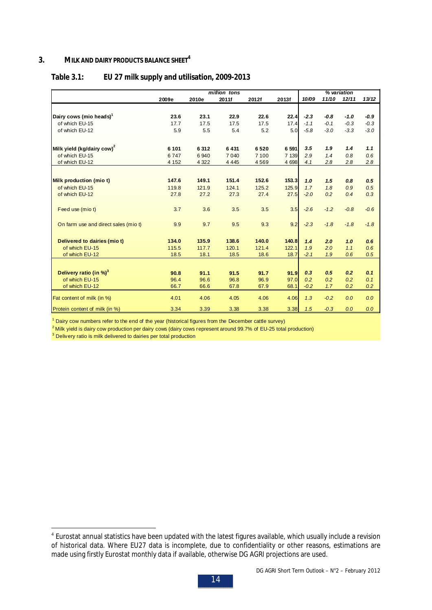## **3. MILK AND DAIRY PRODUCTS BALANCE SHEET<sup>4</sup>**

## **Table 3.1: EU 27 milk supply and utilisation, 2009-2013**

|                                        |         |         | million tons |       |         |        |        | % variation |        |
|----------------------------------------|---------|---------|--------------|-------|---------|--------|--------|-------------|--------|
|                                        | 2009e   | 2010e   | 2011f        | 2012f | 2013f   | 10/09  | 11/10  | 12/11       | 13/12  |
|                                        |         |         |              |       |         |        |        |             |        |
| Dairy cows (mio heads) <sup>1</sup>    | 23.6    | 23.1    | 22.9         | 22.6  | 22.4    | $-2.3$ | $-0.8$ | $-1.0$      | -0.9   |
| of which EU-15                         | 17.7    | 17.5    | 17.5         | 17.5  | 17.4    | $-1.1$ | $-0.1$ | $-0.3$      | $-0.3$ |
| of which EU-12                         | 5.9     | 5.5     | 5.4          | 5.2   | 5.0     | $-5.8$ | $-3.0$ | $-3.3$      | $-3.0$ |
| Milk yield (kg/dairy cow) <sup>2</sup> | 6 1 0 1 | 6312    | 6431         | 6520  | 6 5 9 1 | 3.5    | 1.9    | 1.4         | 1.1    |
| of which EU-15                         | 6747    | 6940    | 7 0 4 0      | 7 100 | 7 139   | 2.9    | 1.4    | 0.8         | 0.6    |
| of which EU-12                         | 4 1 5 2 | 4 3 2 2 | 4 4 4 5      | 4569  | 4 6 9 8 | 4.1    | 2.8    | 2.8         | 2.8    |
| Milk production (mio t)                | 147.6   | 149.1   | 151.4        | 152.6 | 153.3   | 1.0    | 1.5    | 0.8         | 0.5    |
| of which EU-15                         | 119.8   | 121.9   | 124.1        | 125.2 | 125.9   | 1.7    | 1.8    | 0.9         | 0.5    |
| of which EU-12                         | 27.8    | 27.2    | 27.3         | 27.4  | 27.5    | $-2.0$ | 0.2    | 0.4         | 0.3    |
|                                        |         |         |              |       |         |        |        |             |        |
| Feed use (mio t)                       | 3.7     | 3.6     | 3.5          | 3.5   | 3.5     | $-2.6$ | $-1.2$ | $-0.8$      | $-0.6$ |
| On farm use and direct sales (mio t)   | 9.9     | 9.7     | 9.5          | 9.3   | 9.2     | $-2.3$ | $-1.8$ | $-1.8$      | $-1.8$ |
| Delivered to dairies (mio t)           | 134.0   | 135.9   | 138.6        | 140.0 | 140.8   | 1.4    | 2.0    | 1.0         | 0.6    |
| of which EU-15                         | 115.5   | 117.7   | 120.1        | 121.4 | 122.1   | 1.9    | 2.0    | 1.1         | 0.6    |
| of which EU-12                         | 18.5    | 18.1    | 18.5         | 18.6  | 18.7    | $-2.1$ | 1.9    | 0.6         | 0.5    |
| Delivery ratio (in $\%$ ) <sup>3</sup> |         |         |              |       |         | 0.3    | 0.5    | 0.2         | 0.1    |
|                                        | 90.8    | 91.1    | 91.5         | 91.7  | 91.9    |        |        |             |        |
| of which EU-15                         | 96.4    | 96.6    | 96.8         | 96.9  | 97.0    | 0.2    | 0.2    | 0.2         | 0.1    |
| of which EU-12                         | 66.7    | 66.6    | 67.8         | 67.9  | 68.1    | $-0.2$ | 1.7    | 0.2         | 0.2    |
| Fat content of milk (in %)             | 4.01    | 4.06    | 4.05         | 4.06  | 4.06    | 1.3    | $-0.2$ | 0.0         | 0.0    |
| Protein content of milk (in %)         | 3.34    | 3.39    | 3.38         | 3.38  | 3.38    | 1.5    | $-0.3$ | 0.0         | 0.0    |

<sup>1</sup> Dairy cow numbers refer to the end of the year (historical figures from the December cattle survey)

 $2$  Milk yield is dairy cow production per dairy cows (dairy cows represent around 99.7% of EU-25 total production)

<sup>3</sup> Delivery ratio is milk delivered to dairies per total production

<sup>&</sup>lt;sup>4</sup> Eurostat annual statistics have been updated with the latest figures available, which usually include a revision of historical data. Where EU27 data is incomplete, due to confidentiality or other reasons, estimations are made using firstly Eurostat monthly data if available, otherwise DG AGRI projections are used.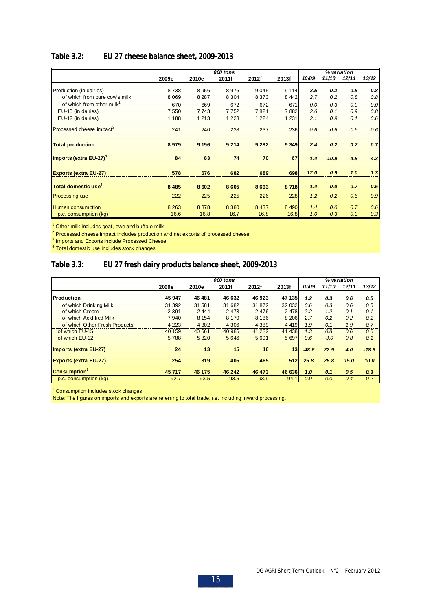## **Table 3.2: EU 27 cheese balance sheet, 2009-2013**

|                                       |         |         | 000 tons |         |         |        |         | % variation |        |
|---------------------------------------|---------|---------|----------|---------|---------|--------|---------|-------------|--------|
|                                       | 2009e   | 2010e   | 2011f    | 2012f   | 2013f   | 10/09  | 11/10   | 12/11       | 13/12  |
| Production (in dairies)               | 8738    | 8956    | 8976     | 9045    | 9 1 1 4 | 2.5    | 0.2     | 0.8         | 0.8    |
| of which from pure cow's milk         | 8 0 6 9 | 8 2 8 7 | 8 3 0 4  | 8 3 7 3 | 8 4 4 2 | 2.7    | 0.2     | 0.8         | 0.8    |
| of which from other milk <sup>1</sup> | 670     | 669     | 672      | 672     | 671     | 0.0    | 0.3     | 0.0         | 0.0    |
| EU-15 (in dairies)                    | 7550    | 7743    | 7752     | 7821    | 7882    | 2.6    | 0.1     | 0.9         | 0.8    |
| EU-12 (in dairies)                    | 1 1 8 8 | 1 2 1 3 | 1 2 2 3  | 1 2 2 4 | 1 2 3 1 | 2.1    | 0.9     | 0.1         | 0.6    |
| Processed cheese impact <sup>2</sup>  | 241     | 240     | 238      | 237     | 236     | $-0.6$ | $-0.6$  | $-0.6$      | $-0.6$ |
| <b>Total production</b>               | 8979    | 9 1 9 6 | 9 2 1 4  | 9 2 8 2 | 9 3 4 9 | 2.4    | 0.2     | 0.7         | 0.7    |
| Imports (extra EU-27) <sup>3</sup>    | 84      | 83      | 74       | 70      | 67      | $-1.4$ | $-10.9$ | $-4.8$      | $-4.3$ |
| <b>Exports (extra EU-27)</b>          | 578     | 676     | 682      | 689     | 698     | 17.0   | 0.9     | 1.0         | 1.3    |
| Total domestic use <sup>4</sup>       | 8 4 8 5 | 8602    | 8605     | 8663    | 8718    | 1.4    | 0.0     | 0.7         | 0.6    |
| <b>Processing use</b>                 | 222     | 225     | 225      | 226     | 228     | 1.2    | 0.2     | 0.6         | 0.9    |
| Human consumption                     | 8 2 6 3 | 8 3 7 8 | 8 3 8 0  | 8 4 3 7 | 8 4 9 0 | 1.4    | 0.0     | 0.7         | 0.6    |
| p.c. consumption (kg)                 | 16.6    | 16.8    | 16.7     | 16.8    | 16.8    | 1.0    | $-0.3$  | 0.3         | 0.3    |

<sup>1</sup> Other milk includes goat, ewe and buffalo milk

**2** Processed cheese impact includes production and net exports of processed cheese

 $^3$  Imports and Exports include Processed Cheese<br> $^4$  Total domestic use includes stock changes

## **Table 3.3: EU 27 fresh dairy products balance sheet, 2009-2013**

|                               |         |         | 000 tons |          |         |         |        | % variation |         |
|-------------------------------|---------|---------|----------|----------|---------|---------|--------|-------------|---------|
|                               | 2009e   | 2010e   | 2011f    | 2012f    | 2013f   | 10/09   | 11/10  | 12/11       | 13/12   |
| Production                    | 45 947  | 46 481  | 46 632   | 46923    | 47 135  | 1.2     | 0.3    | 0.6         | 0.5     |
| of which Drinking Milk        | 31 392  | 31 581  | 31 682   | 31 872   | 32 032  | 0.6     | 0.3    | 0.6         | 0.5     |
| of which Cream                | 2 3 9 1 | 2 4 4 4 | 2 4 7 3  | 2476     | 2 4 7 8 | 2.2     | 1.2    | 0.1         | 0.1     |
| of which Acidified Milk       | 7940    | 8 1 5 4 | 8 1 7 0  | 8 1 8 6  | 8 2 0 6 | 2.7     | 0.2    | 0.2         | 0.2     |
| of which Other Fresh Products | 4 2 2 3 | 4 3 0 2 | 4 3 0 6  | 4 3 8 9  | 4 4 1 9 | 1.9     | 0.1    | 1.9         | 0.7     |
| of which EU-15                | 40 159  | 40 661  | 40 986   | 41 2 3 2 | 41 438  | 1.3     | 0.8    | 0.6         | 0.5     |
| of which EU-12                | 5788    | 5820    | 5646     | 5691     | 5 6 9 7 | 0.6     | $-3.0$ | 0.8         | 0.1     |
| Imports (extra EU-27)         | 24      | 13      | 15       | 16       | 13      | $-48.6$ | 22.9   | 4.0         | $-18.6$ |
| <b>Exports (extra EU-27)</b>  | 254     | 319     | 405      | 465      | 512     | 25.8    | 26.8   | 15.0        | 10.0    |
| Consumption <sup>1</sup>      | 45717   | 46 175  | 46 242   | 46 473   | 46 636  | 1.0     | 0.1    | 0.5         | 0.3     |
| p.c. consumption (kg)         | 92.7    | 93.5    | 93.5     | 93.9     | 94.1    | 0.9     | 0.0    | 0.4         | 0.2     |

<sup>1</sup> Consumption includes stock changes

Note: The figures on imports and exports are referring to total trade, i.e. including inward processing.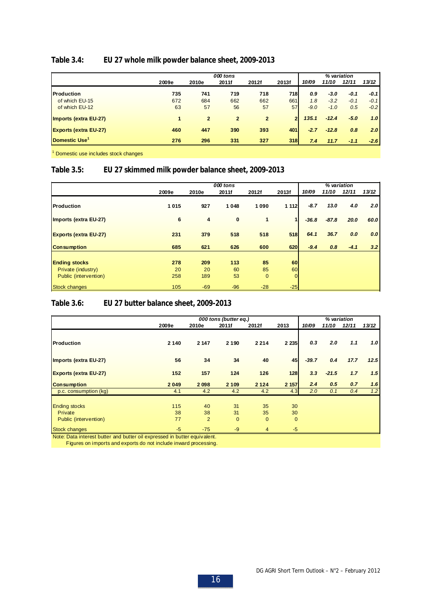## **Table 3.4: EU 27 whole milk powder balance sheet, 2009-2013**

|                              |       | 000 tons       |              |                |                |        |         |        |        |
|------------------------------|-------|----------------|--------------|----------------|----------------|--------|---------|--------|--------|
|                              | 2009e | 2010e          | 2011f        | 2012f          | 2013f          | 10/09  | 11/10   | 12/11  | 13/12  |
| <b>Production</b>            | 735   | 741            | 719          | 718            | <b>718</b>     | 0.9    | $-3.0$  | $-0.1$ | $-0.1$ |
| of which EU-15               | 672   | 684            | 662          | 662            | 661            | 1.8    | $-3.2$  | $-0.1$ | $-0.1$ |
| of which EU-12               | 63    | 57             | 56           | 57             | 57             | $-9.0$ | $-1.0$  | 0.5    | $-0.2$ |
| <b>Imports (extra EU-27)</b> |       | $\overline{2}$ | $\mathbf{2}$ | $\overline{2}$ | $\overline{2}$ | 135.1  | $-12.4$ | $-5.0$ | 1.0    |
| <b>Exports (extra EU-27)</b> | 460   | 447            | 390          | 393            | 401            | $-2.7$ | $-12.8$ | 0.8    | 2.0    |
| Domestic Use <sup>1</sup>    | 276   | 296            | 331          | 327            | <b>318</b>     | 7.4    | 11.7    | $-1.1$ | $-2.6$ |
|                              |       |                |              |                |                |        |         |        |        |

<sup>1</sup> Domestic use includes stock changes

## **Table 3.5: EU 27 skimmed milk powder balance sheet, 2009-2013**

|                              |       |                | 000 tons |              |         |         | % variation |        |                  |
|------------------------------|-------|----------------|----------|--------------|---------|---------|-------------|--------|------------------|
|                              | 2009e | 2010e          | 2011f    | 2012f        | 2013f   | 10/09   | 11/10       | 12/11  | 13/12            |
| <b>Production</b>            | 1015  | 927            | 1 0 4 8  | 1090         | 1 1 1 2 | $-8.7$  | 13.0        | 4.0    | 2.0 <sub>1</sub> |
| Imports (extra EU-27)        | 6     | $\overline{4}$ | $\bf{0}$ | 1            |         | $-36.8$ | $-87.8$     | 20.0   | 60.0             |
| <b>Exports (extra EU-27)</b> | 231   | 379            | 518      | 518          | 518     | 64.1    | 36.7        | 0.0    | 0.0              |
| <b>Consumption</b>           | 685   | 621            | 626      | 600          | 620     | $-9.4$  | 0.8         | $-4.1$ | 3.2              |
| <b>Ending stocks</b>         | 278   | 209            | 113      | 85           | 60      |         |             |        |                  |
| Private (industry)           | 20    | 20             | 60       | 85           | 60      |         |             |        |                  |
| Public (intervention)        | 258   | 189            | 53       | $\mathbf{0}$ |         |         |             |        |                  |
| <b>Stock changes</b>         | 105   | $-69$          | $-96$    | $-28$        | $-25$   |         |             |        |                  |

## **Table 3.6: EU 27 butter balance sheet, 2009-2013**

|                              |       |                | 000 tons (butter eq.) |              |              |         |         | % variation |       |
|------------------------------|-------|----------------|-----------------------|--------------|--------------|---------|---------|-------------|-------|
|                              | 2009e | 2010e          | 2011f                 | 2012f        | 2013         | 10/09   | 11/10   | 12/11       | 13/12 |
| <b>Production</b>            | 2 140 | 2 147          | 2 1 9 0               | 2 2 1 4      | 2 2 3 5      | 0,3     | 2.0     | 1.1         | 1.0   |
| Imports (extra EU-27)        | 56    | 34             | 34                    | 40           | 45           | $-39.7$ | 0.4     | 17.7        | 12.5  |
| <b>Exports (extra EU-27)</b> | 152   | 157            | 124                   | 126          | 128          | 3.3     | $-21.5$ | 1.7         | 1.5   |
| <b>Consumption</b>           | 2049  | 2098           | 2 1 0 9               | 2 1 2 4      | 2 157        | 2.4     | 0.5     | 0.7         | 1.6   |
| p.c. consumption (kg)        | 4.1   | 4.2            | 4.2                   | 4.2          | 4.3          | 2.0     | 0.1     | 0.4         | 1.2   |
| <b>Ending stocks</b>         | 115   | 40             | 31                    | 35           | 30           |         |         |             |       |
| Private                      | 38    | 38             | 31                    | 35           | 30           |         |         |             |       |
| Public (intervention)        | 77    | $\overline{2}$ | $\mathbf{0}$          | $\mathbf{0}$ | $\mathbf{0}$ |         |         |             |       |
| <b>Stock changes</b>         | $-5$  | $-75$          | $-9$                  | 4            | $-5$         |         |         |             |       |

Note: Data interest butter and butter oil expressed in butter equivalent.

Figures on imports and exports do not include inward processing.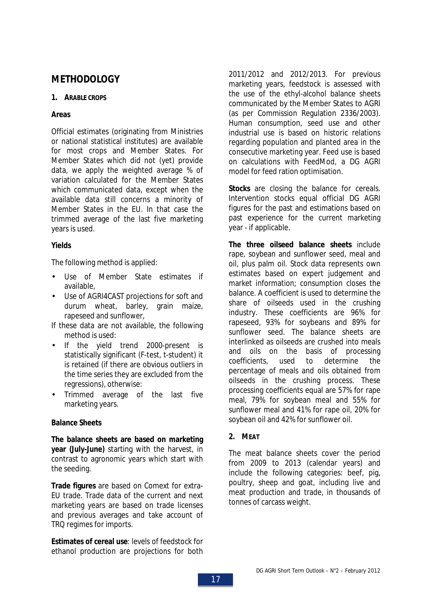## **METHODOLOGY**

## **1. ARABLE CROPS**

## **Areas**

Official estimates (originating from Ministries or national statistical institutes) are available for most crops and Member States. For Member States which did not (yet) provide data, we apply the weighted average % of variation calculated for the Member States which communicated data, except when the available data still concerns a minority of Member States in the EU. In that case the trimmed average of the last five marketing years is used.

## **Yields**

The following method is applied:

- Use of Member State estimates if available,
- Use of AGRI4CAST projections for soft and durum wheat, barley, grain maize, rapeseed and sunflower,
- If these data are not available, the following method is used:
- If the yield trend 2000-present is statistically significant (F-test, t-student) it is retained (if there are obvious outliers in the time series they are excluded from the regressions), otherwise:
- Trimmed average of the last five marketing years.

## **Balance Sheets**

**The balance sheets are based on marketing year (July-June)** starting with the harvest, in contrast to agronomic years which start with the seeding.

**Trade figures** are based on Comext for extra-EU trade. Trade data of the current and next marketing years are based on trade licenses and previous averages and take account of TRQ regimes for imports.

**Estimates of cereal use**: levels of feedstock for ethanol production are projections for both 2011/2012 and 2012/2013. For previous marketing years, feedstock is assessed with the use of the ethyl-alcohol balance sheets communicated by the Member States to AGRI (as per Commission Regulation 2336/2003). Human consumption, seed use and other industrial use is based on historic relations regarding population and planted area in the consecutive marketing year. Feed use is based on calculations with FeedMod, a DG AGRI model for feed ration optimisation.

**Stocks** are closing the balance for cereals. Intervention stocks equal official DG AGRI figures for the past and estimations based on past experience for the current marketing year - if applicable.

**The three oilseed balance sheets** include rape, soybean and sunflower seed, meal and oil, plus palm oil. Stock data represents own estimates based on expert judgement and market information; consumption closes the balance. A coefficient is used to determine the share of oilseeds used in the crushing industry. These coefficients are 96% for rapeseed, 93% for soybeans and 89% for sunflower seed. The balance sheets are interlinked as oilseeds are crushed into meals and oils on the basis of processing coefficients, used to determine the percentage of meals and oils obtained from oilseeds in the crushing process. These processing coefficients equal are 57% for rape meal, 79% for soybean meal and 55% for sunflower meal and 41% for rape oil, 20% for soybean oil and 42% for sunflower oil.

**2. MEAT**

The meat balance sheets cover the period from 2009 to 2013 (calendar years) and include the following categories: beef, pig, poultry, sheep and goat, including live and meat production and trade, in thousands of tonnes of carcass weight.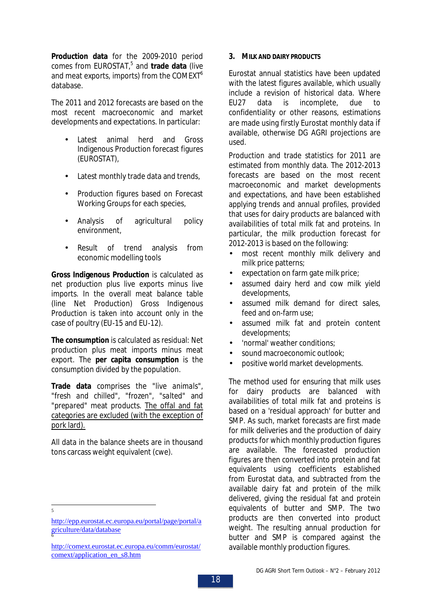**Production data** for the 2009-2010 period comes from EUROSTAT,<sup>5</sup> and trade data (live and meat exports, imports) from the COMEXT<sup>6</sup> database.

The 2011 and 2012 forecasts are based on the most recent macroeconomic and market developments and expectations. In particular:

- Latest animal herd and Gross Indigenous Production forecast figures (EUROSTAT),
- Latest monthly trade data and trends,
- Production figures based on Forecast Working Groups for each species,
- Analysis of agricultural policy environment,
- Result of trend analysis from economic modelling tools

**Gross Indigenous Production** is calculated as net production plus live exports minus live imports. In the overall meat balance table (line Net Production) Gross Indigenous Production is taken into account only in the case of poultry (EU-15 and EU-12).

**The consumption** is calculated as residual: Net production plus meat imports minus meat export. The **per capita consumption** is the consumption divided by the population.

**Trade data** comprises the "*live animals*", "*fresh and chilled*", "*frozen*", "*salted*" and "*prepared*" meat products. The offal and fat categories are excluded (with the exception of pork lard).

All data in the balance sheets are in thousand tons carcass weight equivalent (cwe).

5

**3. MILK AND DAIRY PRODUCTS**

Eurostat annual statistics have been updated with the latest figures available, which usually include a revision of historical data. Where EU27 data is incomplete, due to confidentiality or other reasons, estimations are made using firstly Eurostat monthly data if available, otherwise DG AGRI projections are used.

Production and trade statistics for 2011 are estimated from monthly data. The 2012-2013 forecasts are based on the most recent macroeconomic and market developments and expectations, and have been established applying trends and annual profiles, provided that uses for dairy products are balanced with availabilities of total milk fat and proteins. In particular, the milk production forecast for 2012-2013 is based on the following:

- most recent monthly milk delivery and milk price patterns;
- expectation on farm gate milk price;
- assumed dairy herd and cow milk yield developments,
- assumed milk demand for direct sales, feed and on-farm use;
- assumed milk fat and protein content developments;
- 'normal' weather conditions;
- sound macroeconomic outlook:
- positive world market developments.

The method used for ensuring that milk uses for dairy products are balanced with availabilities of total milk fat and proteins is based on a 'residual approach' for butter and SMP. As such, market forecasts are first made for milk deliveries and the production of dairy products for which monthly production figures are available. The forecasted production figures are then converted into protein and fat equivalents using coefficients established from Eurostat data, and subtracted from the available dairy fat and protein of the milk delivered, giving the residual fat and protein equivalents of butter and SMP. The two products are then converted into product weight. The resulting annual production for butter and SMP is compared against the available monthly production figures.

http://epp.eurostat.ec.europa.eu/portal/page/portal/a griculture/data/database 6

http://comext.eurostat.ec.europa.eu/comm/eurostat/ comext/application\_en\_s8.htm